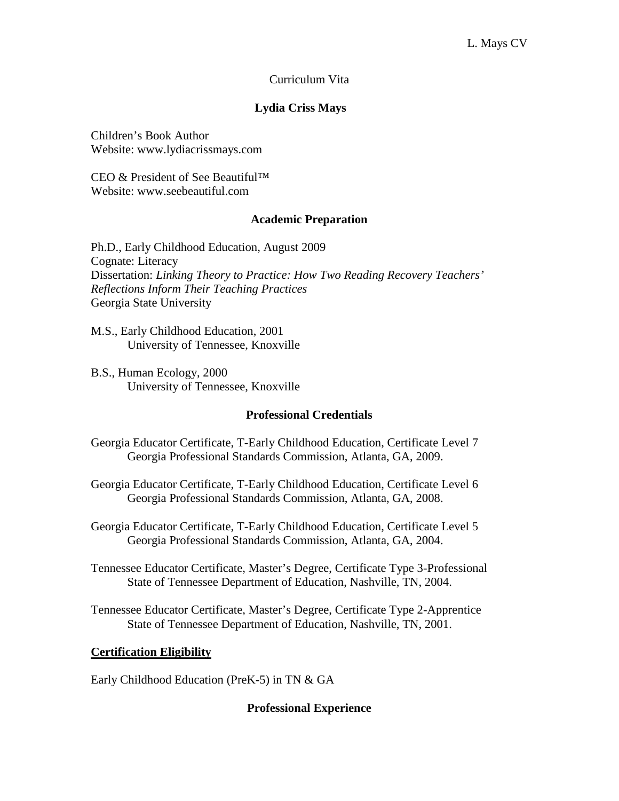# Curriculum Vita

# **Lydia Criss Mays**

Children's Book Author Website: www.lydiacrissmays.com

CEO & President of See Beautiful™ Website: www.seebeautiful.com

## **Academic Preparation**

Ph.D., Early Childhood Education, August 2009 Cognate: Literacy Dissertation: *Linking Theory to Practice: How Two Reading Recovery Teachers' Reflections Inform Their Teaching Practices* Georgia State University

M.S., Early Childhood Education, 2001 University of Tennessee, Knoxville

B.S., Human Ecology, 2000 University of Tennessee, Knoxville

## **Professional Credentials**

- Georgia Educator Certificate, T-Early Childhood Education, Certificate Level 7 Georgia Professional Standards Commission, Atlanta, GA, 2009.
- Georgia Educator Certificate, T-Early Childhood Education, Certificate Level 6 Georgia Professional Standards Commission, Atlanta, GA, 2008.
- Georgia Educator Certificate, T-Early Childhood Education, Certificate Level 5 Georgia Professional Standards Commission, Atlanta, GA, 2004.
- Tennessee Educator Certificate, Master's Degree, Certificate Type 3-Professional State of Tennessee Department of Education, Nashville, TN, 2004.
- Tennessee Educator Certificate, Master's Degree, Certificate Type 2-Apprentice State of Tennessee Department of Education, Nashville, TN, 2001.

## **Certification Eligibility**

Early Childhood Education (PreK-5) in TN & GA

# **Professional Experience**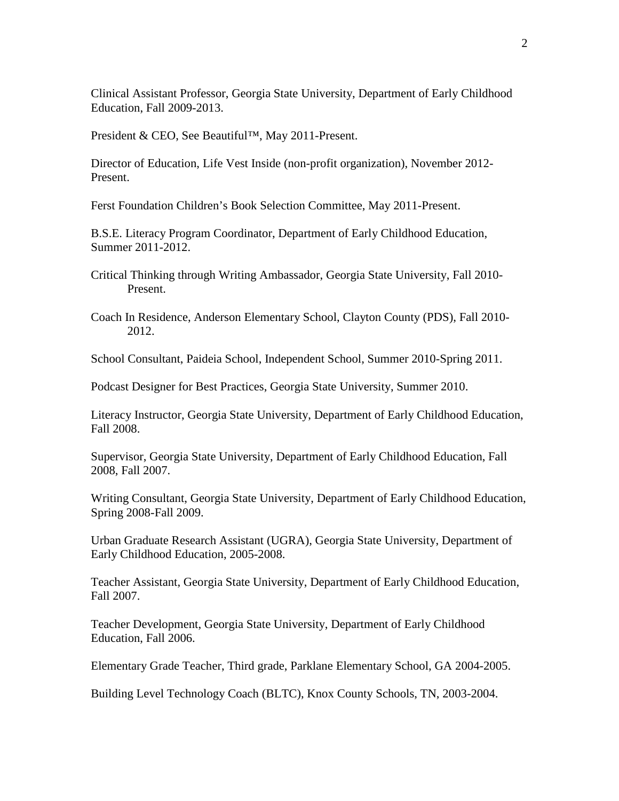Clinical Assistant Professor, Georgia State University, Department of Early Childhood Education, Fall 2009-2013.

President & CEO, See Beautiful™, May 2011-Present.

Director of Education, Life Vest Inside (non-profit organization), November 2012- Present.

Ferst Foundation Children's Book Selection Committee, May 2011-Present.

B.S.E. Literacy Program Coordinator, Department of Early Childhood Education, Summer 2011-2012.

Critical Thinking through Writing Ambassador, Georgia State University, Fall 2010- Present.

Coach In Residence, Anderson Elementary School, Clayton County (PDS), Fall 2010- 2012.

School Consultant, Paideia School, Independent School, Summer 2010-Spring 2011.

Podcast Designer for Best Practices, Georgia State University, Summer 2010.

Literacy Instructor, Georgia State University, Department of Early Childhood Education, Fall 2008.

Supervisor, Georgia State University, Department of Early Childhood Education, Fall 2008, Fall 2007.

Writing Consultant, Georgia State University, Department of Early Childhood Education, Spring 2008-Fall 2009.

Urban Graduate Research Assistant (UGRA), Georgia State University, Department of Early Childhood Education, 2005-2008.

Teacher Assistant, Georgia State University, Department of Early Childhood Education, Fall 2007.

Teacher Development, Georgia State University, Department of Early Childhood Education, Fall 2006.

Elementary Grade Teacher, Third grade, Parklane Elementary School, GA 2004-2005.

Building Level Technology Coach (BLTC), Knox County Schools, TN, 2003-2004.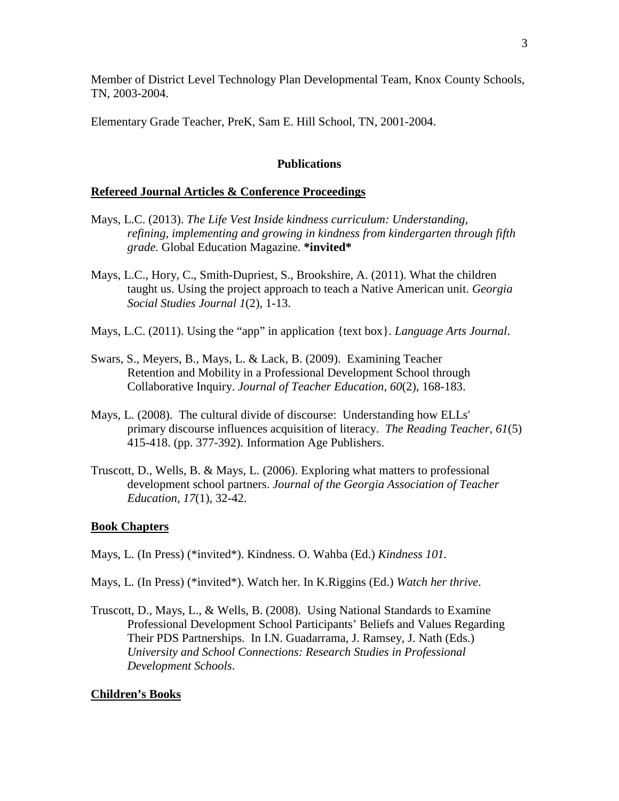Member of District Level Technology Plan Developmental Team, Knox County Schools, TN, 2003-2004.

Elementary Grade Teacher, PreK, Sam E. Hill School, TN, 2001-2004.

# **Publications**

## **Refereed Journal Articles & Conference Proceedings**

- Mays, L.C. (2013). *The Life Vest Inside kindness curriculum: Understanding, refining, implementing and growing in kindness from kindergarten through fifth grade.* Global Education Magazine. **\*invited\***
- Mays, L.C., Hory, C., Smith-Dupriest, S., Brookshire, A. (2011). What the children taught us. Using the project approach to teach a Native American unit. *Georgia Social Studies Journal 1*(2), 1-13.
- Mays, L.C. (2011). Using the "app" in application {text box}. *Language Arts Journal*.
- Swars, S., Meyers, B., Mays, L. & Lack, B. (2009). Examining Teacher Retention and Mobility in a Professional Development School through Collaborative Inquiry. *Journal of Teacher Education, 60*(2), 168-183.
- Mays, L. (2008). The cultural divide of discourse: Understanding how ELLs' primary discourse influences acquisition of literacy. *The Reading Teacher, 61*(5) 415-418. (pp. 377-392). Information Age Publishers.
- Truscott, D., Wells, B. & Mays, L. (2006). Exploring what matters to professional development school partners. *Journal of the Georgia Association of Teacher Education, 17*(1), 32-42.

## **Book Chapters**

- Mays, L. (In Press) (\*invited\*). Kindness. O. Wahba (Ed.) *Kindness 101.*
- Mays, L. (In Press) (\*invited\*). Watch her. In K.Riggins (Ed.) *Watch her thrive*.
- Truscott, D., Mays, L., & Wells, B. (2008). Using National Standards to Examine Professional Development School Participants' Beliefs and Values Regarding Their PDS Partnerships. In I.N. Guadarrama, J. Ramsey, J. Nath (Eds.) *University and School Connections: Research Studies in Professional Development Schools*.

## **Children's Books**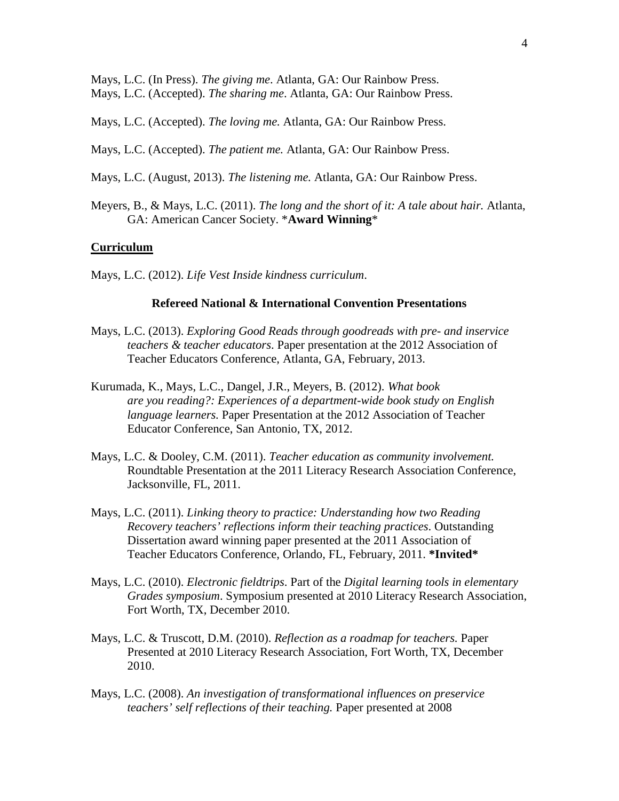Mays, L.C. (In Press). *The giving me*. Atlanta, GA: Our Rainbow Press. Mays, L.C. (Accepted). *The sharing me*. Atlanta, GA: Our Rainbow Press.

Mays, L.C. (Accepted). *The loving me.* Atlanta, GA: Our Rainbow Press.

Mays, L.C. (Accepted). *The patient me.* Atlanta, GA: Our Rainbow Press.

- Mays, L.C. (August, 2013). *The listening me.* Atlanta, GA: Our Rainbow Press.
- Meyers, B., & Mays, L.C. (2011). *The long and the short of it: A tale about hair.* Atlanta, GA: American Cancer Society. \***Award Winning**\*

#### **Curriculum**

Mays, L.C. (2012). *Life Vest Inside kindness curriculum*.

#### **Refereed National & International Convention Presentations**

- Mays, L.C. (2013). *Exploring Good Reads through goodreads with pre- and inservice teachers & teacher educators*. Paper presentation at the 2012 Association of Teacher Educators Conference, Atlanta, GA, February, 2013.
- Kurumada, K., Mays, L.C., Dangel, J.R., Meyers, B. (2012). *What book are you reading?: Experiences of a department-wide book study on English language learners.* Paper Presentation at the 2012 Association of Teacher Educator Conference, San Antonio, TX, 2012.
- Mays, L.C. & Dooley, C.M. (2011). *Teacher education as community involvement.* Roundtable Presentation at the 2011 Literacy Research Association Conference, Jacksonville, FL, 2011.
- Mays, L.C. (2011). *Linking theory to practice: Understanding how two Reading Recovery teachers' reflections inform their teaching practices*. Outstanding Dissertation award winning paper presented at the 2011 Association of Teacher Educators Conference, Orlando, FL, February, 2011. **\*Invited\***
- Mays, L.C. (2010). *Electronic fieldtrips*. Part of the *Digital learning tools in elementary Grades symposium*. Symposium presented at 2010 Literacy Research Association, Fort Worth, TX, December 2010.
- Mays, L.C. & Truscott, D.M. (2010). *Reflection as a roadmap for teachers.* Paper Presented at 2010 Literacy Research Association, Fort Worth, TX, December 2010.
- Mays, L.C. (2008). *An investigation of transformational influences on preservice teachers' self reflections of their teaching.* Paper presented at 2008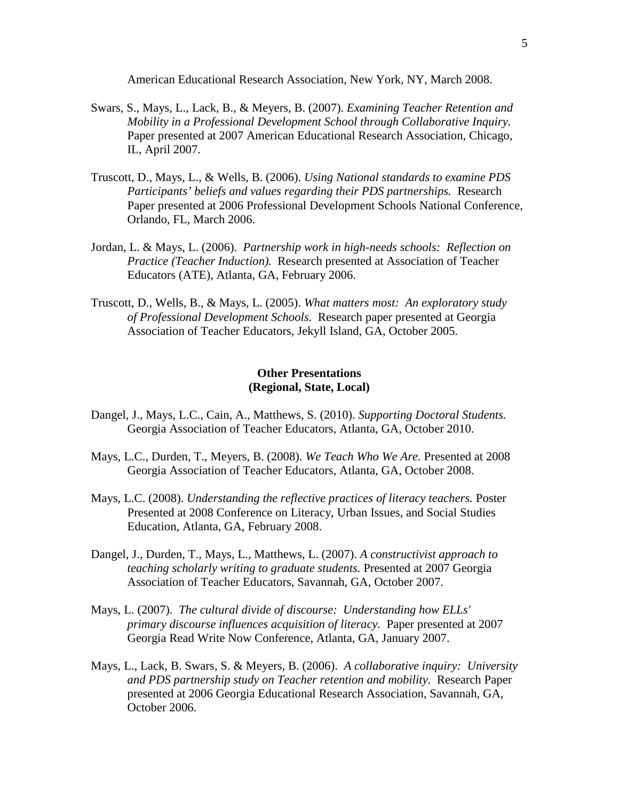American Educational Research Association, New York, NY, March 2008.

- Swars, S., Mays, L., Lack, B., & Meyers, B. (2007). *Examining Teacher Retention and Mobility in a Professional Development School through Collaborative Inquiry.*  Paper presented at 2007 American Educational Research Association, Chicago, IL, April 2007.
- Truscott, D., Mays, L., & Wells, B. (2006). *Using National standards to examine PDS Participants' beliefs and values regarding their PDS partnerships.* Research Paper presented at 2006 Professional Development Schools National Conference, Orlando, FL, March 2006.
- Jordan, L. & Mays, L. (2006). *Partnership work in high-needs schools: Reflection on Practice (Teacher Induction).* Research presented at Association of Teacher Educators (ATE), Atlanta, GA, February 2006.
- Truscott, D., Wells, B., & Mays, L. (2005). *What matters most: An exploratory study of Professional Development Schools.* Research paper presented at Georgia Association of Teacher Educators, Jekyll Island, GA, October 2005.

# **Other Presentations (Regional, State, Local)**

- Dangel, J., Mays, L.C., Cain, A., Matthews, S. (2010). *Supporting Doctoral Students.*  Georgia Association of Teacher Educators, Atlanta, GA, October 2010.
- Mays, L.C., Durden, T., Meyers, B. (2008). *We Teach Who We Are.* Presented at 2008 Georgia Association of Teacher Educators, Atlanta, GA, October 2008.
- Mays, L.C. (2008). *Understanding the reflective practices of literacy teachers.* Poster Presented at 2008 Conference on Literacy, Urban Issues, and Social Studies Education, Atlanta, GA, February 2008.
- Dangel, J., Durden, T., Mays, L., Matthews, L. (2007). *A constructivist approach to teaching scholarly writing to graduate students.* Presented at 2007 Georgia Association of Teacher Educators, Savannah, GA, October 2007.
- Mays, L. (2007). *The cultural divide of discourse: Understanding how ELLs' primary discourse influences acquisition of literacy.* Paper presented at 2007 Georgia Read Write Now Conference, Atlanta, GA, January 2007.
- Mays, L., Lack, B. Swars, S. & Meyers, B. (2006). *A collaborative inquiry: University and PDS partnership study on Teacher retention and mobility.* Research Paper presented at 2006 Georgia Educational Research Association, Savannah, GA, October 2006.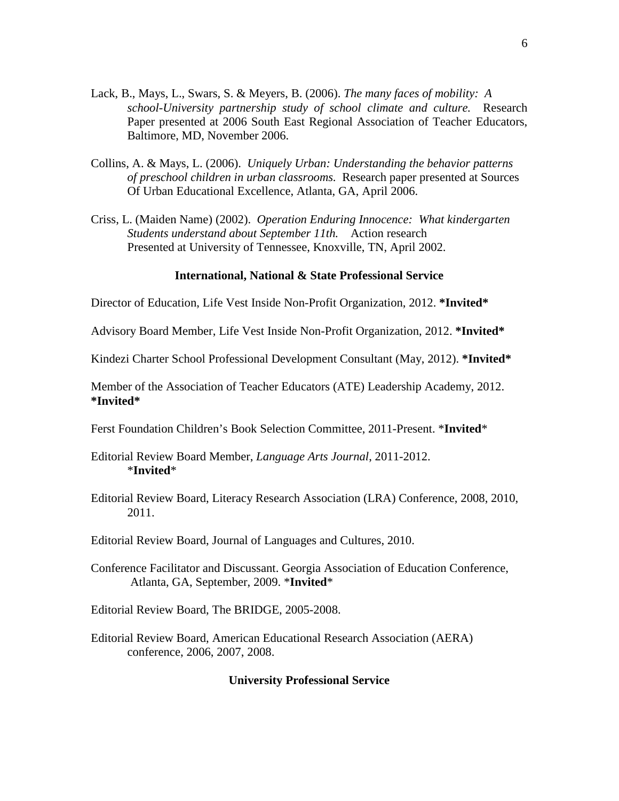- Lack, B., Mays, L., Swars, S. & Meyers, B. (2006). *The many faces of mobility: A school-University partnership study of school climate and culture.* Research Paper presented at 2006 South East Regional Association of Teacher Educators, Baltimore, MD, November 2006.
- Collins, A. & Mays, L. (2006). *Uniquely Urban: Understanding the behavior patterns of preschool children in urban classrooms.* Research paper presented at Sources Of Urban Educational Excellence, Atlanta, GA, April 2006.
- Criss, L. (Maiden Name) (2002). *Operation Enduring Innocence: What kindergarten Students understand about September 11th.* Action research Presented at University of Tennessee, Knoxville, TN, April 2002.

## **International, National & State Professional Service**

Director of Education, Life Vest Inside Non-Profit Organization, 2012. **\*Invited\***

Advisory Board Member, Life Vest Inside Non-Profit Organization, 2012. **\*Invited\***

Kindezi Charter School Professional Development Consultant (May, 2012). **\*Invited\***

Member of the Association of Teacher Educators (ATE) Leadership Academy, 2012. **\*Invited\***

Ferst Foundation Children's Book Selection Committee, 2011-Present. \***Invited**\*

- Editorial Review Board Member, *Language Arts Journal*, 2011-2012. \***Invited**\*
- Editorial Review Board, Literacy Research Association (LRA) Conference, 2008, 2010, 2011.

Editorial Review Board, Journal of Languages and Cultures, 2010.

- Conference Facilitator and Discussant. Georgia Association of Education Conference, Atlanta, GA, September, 2009. \***Invited**\*
- Editorial Review Board, The BRIDGE, 2005-2008.
- Editorial Review Board, American Educational Research Association (AERA) conference, 2006, 2007, 2008.

## **University Professional Service**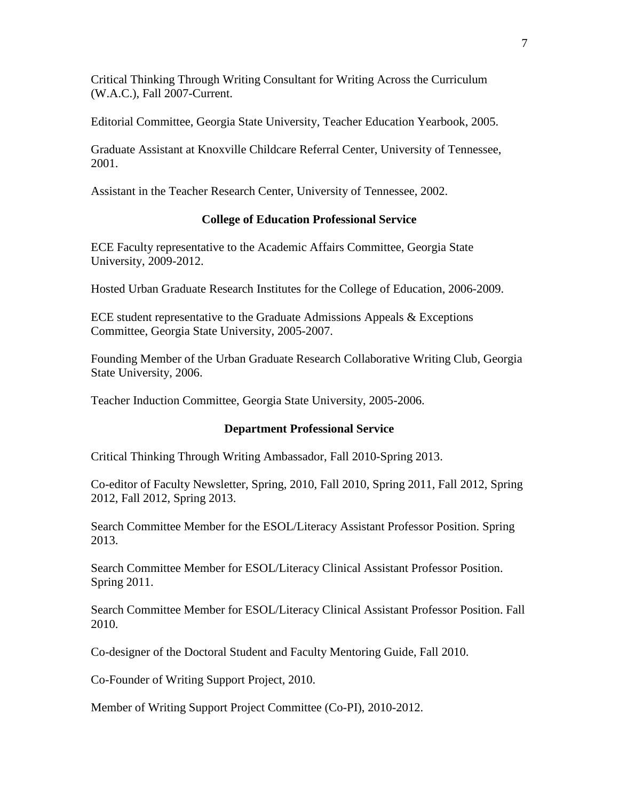Critical Thinking Through Writing Consultant for Writing Across the Curriculum (W.A.C.), Fall 2007-Current.

Editorial Committee, Georgia State University, Teacher Education Yearbook, 2005.

Graduate Assistant at Knoxville Childcare Referral Center, University of Tennessee, 2001.

Assistant in the Teacher Research Center, University of Tennessee, 2002.

# **College of Education Professional Service**

ECE Faculty representative to the Academic Affairs Committee, Georgia State University, 2009-2012.

Hosted Urban Graduate Research Institutes for the College of Education, 2006-2009.

ECE student representative to the Graduate Admissions Appeals & Exceptions Committee, Georgia State University, 2005-2007.

Founding Member of the Urban Graduate Research Collaborative Writing Club, Georgia State University, 2006.

Teacher Induction Committee, Georgia State University, 2005-2006.

# **Department Professional Service**

Critical Thinking Through Writing Ambassador, Fall 2010-Spring 2013.

Co-editor of Faculty Newsletter, Spring, 2010, Fall 2010, Spring 2011, Fall 2012, Spring 2012, Fall 2012, Spring 2013.

Search Committee Member for the ESOL/Literacy Assistant Professor Position. Spring 2013.

Search Committee Member for ESOL/Literacy Clinical Assistant Professor Position. Spring 2011.

Search Committee Member for ESOL/Literacy Clinical Assistant Professor Position. Fall 2010.

Co-designer of the Doctoral Student and Faculty Mentoring Guide, Fall 2010.

Co-Founder of Writing Support Project, 2010.

Member of Writing Support Project Committee (Co-PI), 2010-2012.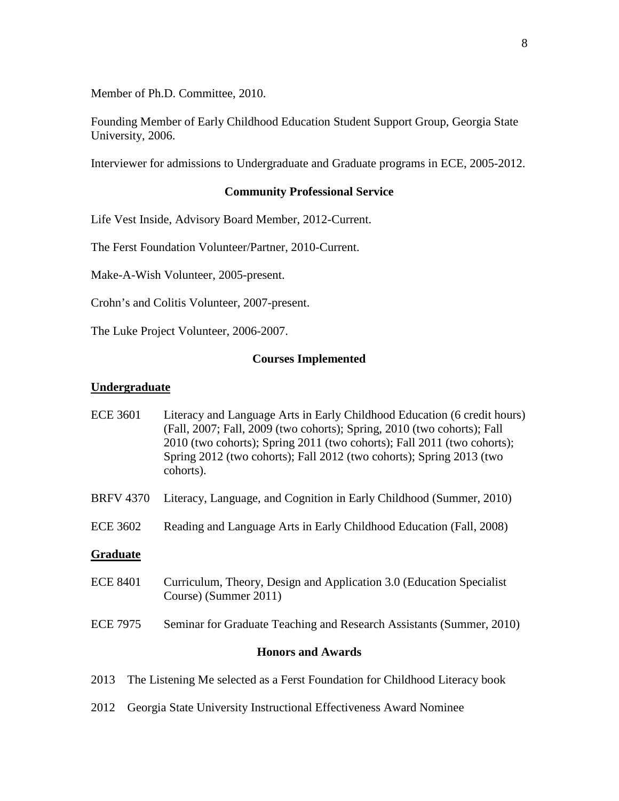Member of Ph.D. Committee, 2010.

Founding Member of Early Childhood Education Student Support Group, Georgia State University, 2006.

Interviewer for admissions to Undergraduate and Graduate programs in ECE, 2005-2012.

### **Community Professional Service**

Life Vest Inside, Advisory Board Member, 2012-Current.

The Ferst Foundation Volunteer/Partner, 2010-Current.

Make-A-Wish Volunteer, 2005-present.

Crohn's and Colitis Volunteer, 2007-present.

The Luke Project Volunteer, 2006-2007.

## **Courses Implemented**

#### **Undergraduate**

| <b>ECE 3601</b>                                                                     | Literacy and Language Arts in Early Childhood Education (6 credit hours)<br>(Fall, 2007; Fall, 2009 (two cohorts); Spring, 2010 (two cohorts); Fall<br>2010 (two cohorts); Spring 2011 (two cohorts); Fall 2011 (two cohorts);<br>Spring 2012 (two cohorts); Fall 2012 (two cohorts); Spring 2013 (two<br>cohorts). |
|-------------------------------------------------------------------------------------|---------------------------------------------------------------------------------------------------------------------------------------------------------------------------------------------------------------------------------------------------------------------------------------------------------------------|
| <b>BRFV 4370</b>                                                                    | Literacy, Language, and Cognition in Early Childhood (Summer, 2010)                                                                                                                                                                                                                                                 |
| <b>ECE 3602</b>                                                                     | Reading and Language Arts in Early Childhood Education (Fall, 2008)                                                                                                                                                                                                                                                 |
| <b>Graduate</b>                                                                     |                                                                                                                                                                                                                                                                                                                     |
| <b>ECE 8401</b>                                                                     | Curriculum, Theory, Design and Application 3.0 (Education Specialist)<br>Course) (Summer 2011)                                                                                                                                                                                                                      |
| <b>ECE 7975</b>                                                                     | Seminar for Graduate Teaching and Research Assistants (Summer, 2010)                                                                                                                                                                                                                                                |
| <b>Honors and Awards</b>                                                            |                                                                                                                                                                                                                                                                                                                     |
| The Listening Me selected as a Ferst Foundation for Childhood Literacy book<br>2013 |                                                                                                                                                                                                                                                                                                                     |

2012 Georgia State University Instructional Effectiveness Award Nominee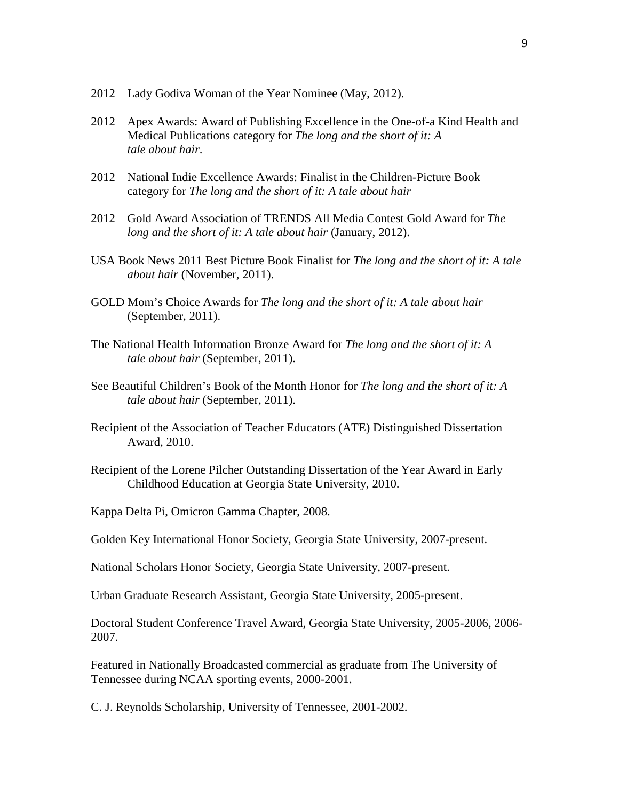- 2012 Lady Godiva Woman of the Year Nominee (May, 2012).
- 2012 Apex Awards: Award of Publishing Excellence in the One-of-a Kind Health and Medical Publications category for *The long and the short of it: A tale about hair*.
- 2012 National Indie Excellence Awards: Finalist in the Children-Picture Book category for *The long and the short of it: A tale about hair*
- 2012 Gold Award Association of TRENDS All Media Contest Gold Award for *The long and the short of it: A tale about hair* (January, 2012).
- USA Book News 2011 Best Picture Book Finalist for *The long and the short of it: A tale about hair* (November, 2011).
- GOLD Mom's Choice Awards for *The long and the short of it: A tale about hair* (September, 2011).
- The National Health Information Bronze Award for *The long and the short of it: A tale about hair* (September, 2011).
- See Beautiful Children's Book of the Month Honor for *The long and the short of it: A tale about hair* (September, 2011).
- Recipient of the Association of Teacher Educators (ATE) Distinguished Dissertation Award, 2010.
- Recipient of the Lorene Pilcher Outstanding Dissertation of the Year Award in Early Childhood Education at Georgia State University, 2010.

Kappa Delta Pi, Omicron Gamma Chapter, 2008.

Golden Key International Honor Society, Georgia State University, 2007-present.

National Scholars Honor Society, Georgia State University, 2007-present.

Urban Graduate Research Assistant, Georgia State University, 2005-present.

Doctoral Student Conference Travel Award, Georgia State University, 2005-2006, 2006- 2007.

Featured in Nationally Broadcasted commercial as graduate from The University of Tennessee during NCAA sporting events, 2000-2001.

C. J. Reynolds Scholarship, University of Tennessee, 2001-2002.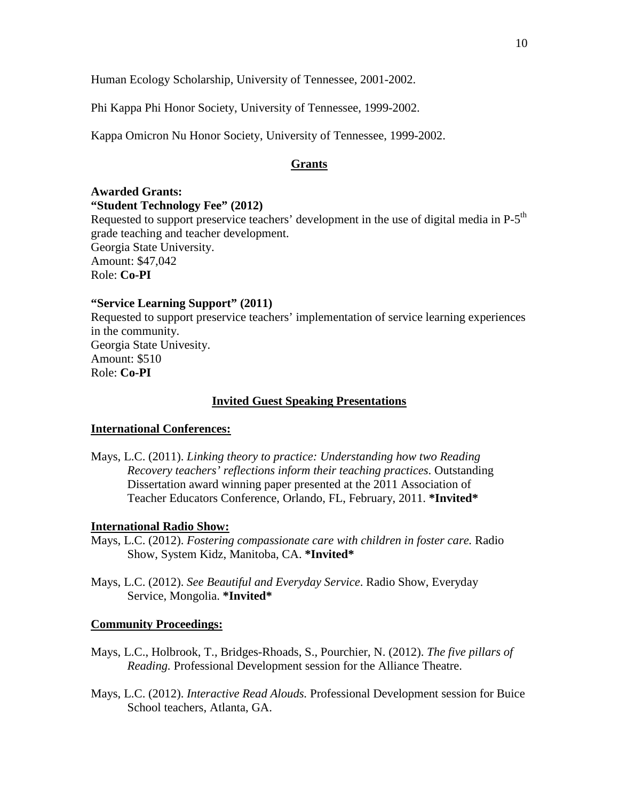Human Ecology Scholarship, University of Tennessee, 2001-2002.

Phi Kappa Phi Honor Society, University of Tennessee, 1999-2002.

Kappa Omicron Nu Honor Society, University of Tennessee, 1999-2002.

### **Grants**

### **Awarded Grants: "Student Technology Fee" (2012)**

Requested to support preservice teachers' development in the use of digital media in P-5<sup>th</sup> grade teaching and teacher development. Georgia State University. Amount: \$47,042 Role: **Co-PI**

## **"Service Learning Support" (2011)**

Requested to support preservice teachers' implementation of service learning experiences in the community. Georgia State Univesity. Amount: \$510 Role: **Co-PI**

## **Invited Guest Speaking Presentations**

### **International Conferences:**

Mays, L.C. (2011). *Linking theory to practice: Understanding how two Reading Recovery teachers' reflections inform their teaching practices*. Outstanding Dissertation award winning paper presented at the 2011 Association of Teacher Educators Conference, Orlando, FL, February, 2011. **\*Invited\***

## **International Radio Show:**

- Mays, L.C. (2012). *Fostering compassionate care with children in foster care.* Radio Show, System Kidz, Manitoba, CA. **\*Invited\***
- Mays, L.C. (2012). *See Beautiful and Everyday Service*. Radio Show, Everyday Service, Mongolia. **\*Invited\***

#### **Community Proceedings:**

- Mays, L.C., Holbrook, T., Bridges-Rhoads, S., Pourchier, N. (2012). *The five pillars of Reading.* Professional Development session for the Alliance Theatre.
- Mays, L.C. (2012). *Interactive Read Alouds.* Professional Development session for Buice School teachers, Atlanta, GA.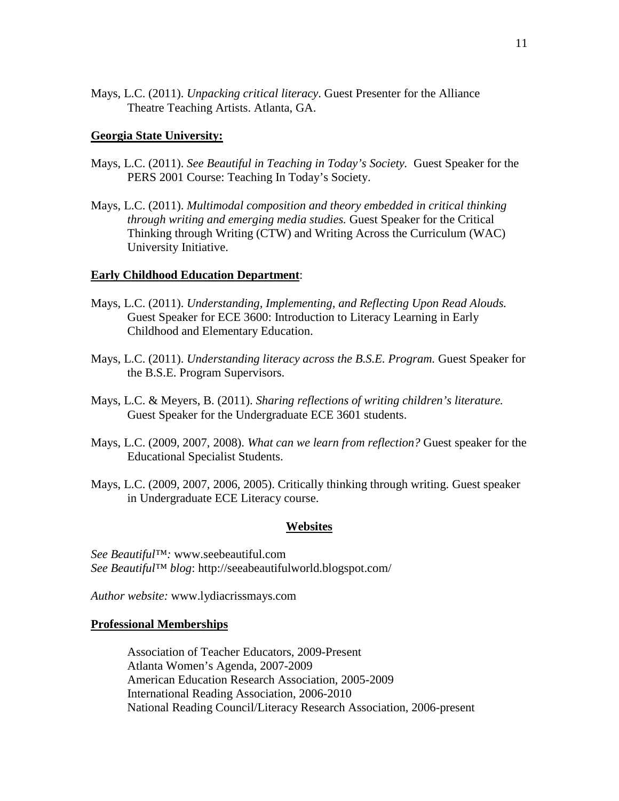Mays, L.C. (2011). *Unpacking critical literacy*. Guest Presenter for the Alliance Theatre Teaching Artists. Atlanta, GA.

## **Georgia State University:**

- Mays, L.C. (2011). *See Beautiful in Teaching in Today's Society.* Guest Speaker for the PERS 2001 Course: Teaching In Today's Society.
- Mays, L.C. (2011). *Multimodal composition and theory embedded in critical thinking through writing and emerging media studies.* Guest Speaker for the Critical Thinking through Writing (CTW) and Writing Across the Curriculum (WAC) University Initiative.

## **Early Childhood Education Department**:

- Mays, L.C. (2011). *Understanding, Implementing, and Reflecting Upon Read Alouds.*  Guest Speaker for ECE 3600: Introduction to Literacy Learning in Early Childhood and Elementary Education.
- Mays, L.C. (2011). *Understanding literacy across the B.S.E. Program.* Guest Speaker for the B.S.E. Program Supervisors.
- Mays, L.C. & Meyers, B. (2011). *Sharing reflections of writing children's literature.*  Guest Speaker for the Undergraduate ECE 3601 students.
- Mays, L.C. (2009, 2007, 2008). *What can we learn from reflection?* Guest speaker for the Educational Specialist Students.
- Mays, L.C. (2009, 2007, 2006, 2005). Critically thinking through writing. Guest speaker in Undergraduate ECE Literacy course.

#### **Websites**

*See Beautiful™:* www.seebeautiful.com *See Beautiful™ blog*: http://seeabeautifulworld.blogspot.com/

*Author website:* www.lydiacrissmays.com

#### **Professional Memberships**

Association of Teacher Educators, 2009-Present Atlanta Women's Agenda, 2007-2009 American Education Research Association, 2005-2009 International Reading Association, 2006-2010 National Reading Council/Literacy Research Association, 2006-present